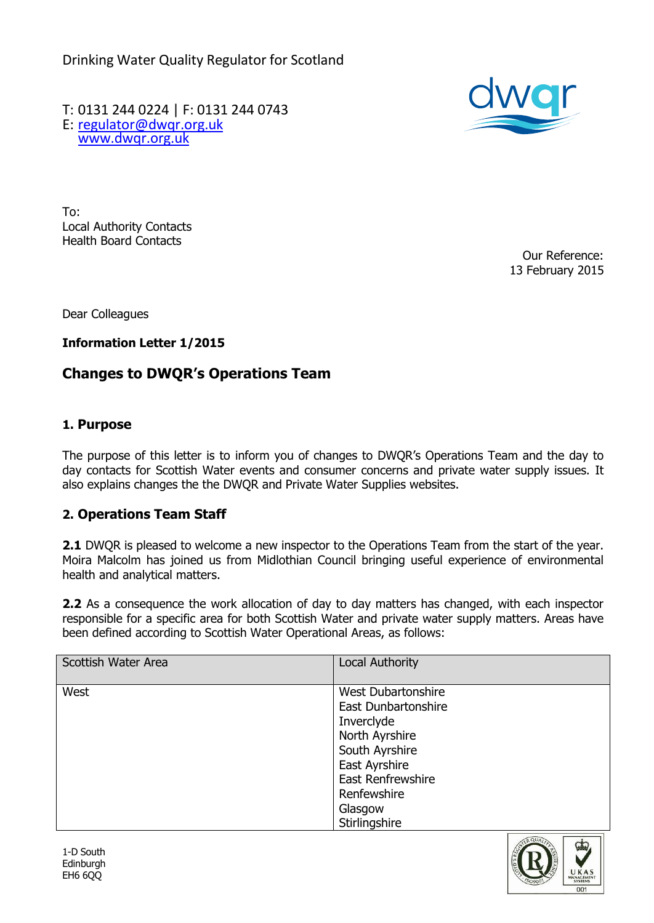Drinking Water Quality Regulator for Scotland

T: 0131 244 0224 | F: 0131 244 0743 E: [regulator@dwqr.org.uk](mailto:regulator@dwqr.org.uk)  [www.dwqr.org.uk](http://www.dwqr.org.uk/)



To: Local Authority Contacts Health Board Contacts

Our Reference: 13 February 2015

Dear Colleagues

**Information Letter 1/2015**

## **Changes to DWQR's Operations Team**

## **1. Purpose**

The purpose of this letter is to inform you of changes to DWQR's Operations Team and the day to day contacts for Scottish Water events and consumer concerns and private water supply issues. It also explains changes the the DWQR and Private Water Supplies websites.

## **2. Operations Team Staff**

**2.1** DWQR is pleased to welcome a new inspector to the Operations Team from the start of the year. Moira Malcolm has joined us from Midlothian Council bringing useful experience of environmental health and analytical matters.

**2.2** As a consequence the work allocation of day to day matters has changed, with each inspector responsible for a specific area for both Scottish Water and private water supply matters. Areas have been defined according to Scottish Water Operational Areas, as follows:

| Scottish Water Area | <b>Local Authority</b>    |  |
|---------------------|---------------------------|--|
|                     |                           |  |
| West                | <b>West Dubartonshire</b> |  |
|                     | East Dunbartonshire       |  |
|                     | Inverclyde                |  |
|                     | North Ayrshire            |  |
|                     | South Ayrshire            |  |
|                     | East Ayrshire             |  |
|                     | East Renfrewshire         |  |
|                     | Renfewshire               |  |
|                     | Glasgow                   |  |
|                     | Stirlingshire             |  |
|                     |                           |  |

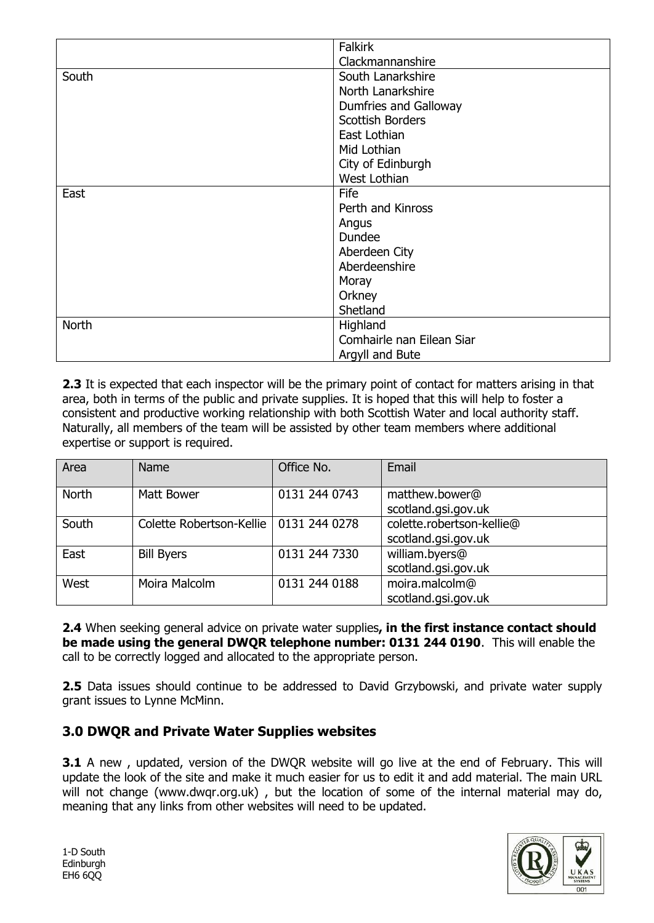|       | <b>Falkirk</b>            |  |
|-------|---------------------------|--|
|       | Clackmannanshire          |  |
| South | South Lanarkshire         |  |
|       | North Lanarkshire         |  |
|       | Dumfries and Galloway     |  |
|       | <b>Scottish Borders</b>   |  |
|       | East Lothian              |  |
|       | Mid Lothian               |  |
|       | City of Edinburgh         |  |
|       | West Lothian              |  |
| East  | Fife                      |  |
|       | Perth and Kinross         |  |
|       | Angus                     |  |
|       | Dundee                    |  |
|       | Aberdeen City             |  |
|       | Aberdeenshire             |  |
|       | Moray                     |  |
|       | Orkney                    |  |
|       | Shetland                  |  |
| North | Highland                  |  |
|       | Comhairle nan Eilean Siar |  |
|       | Argyll and Bute           |  |

**2.3** It is expected that each inspector will be the primary point of contact for matters arising in that area, both in terms of the public and private supplies. It is hoped that this will help to foster a consistent and productive working relationship with both Scottish Water and local authority staff. Naturally, all members of the team will be assisted by other team members where additional expertise or support is required.

| Area         | <b>Name</b>              | Office No.    | Email                                            |
|--------------|--------------------------|---------------|--------------------------------------------------|
| <b>North</b> | Matt Bower               | 0131 244 0743 | matthew.bower@<br>scotland.gsi.gov.uk            |
| South        | Colette Robertson-Kellie | 0131 244 0278 | colette.robertson-kellie@<br>scotland.gsi.gov.uk |
| East         | <b>Bill Byers</b>        | 0131 244 7330 | william.byers@<br>scotland.gsi.gov.uk            |
| West         | Moira Malcolm            | 0131 244 0188 | moira.malcolm@<br>scotland.gsi.gov.uk            |

**2.4** When seeking general advice on private water supplies**, in the first instance contact should be made using the general DWQR telephone number: 0131 244 0190**. This will enable the call to be correctly logged and allocated to the appropriate person.

**2.5** Data issues should continue to be addressed to David Grzybowski, and private water supply grant issues to Lynne McMinn.

## **3.0 DWQR and Private Water Supplies websites**

**3.1** A new, updated, version of the DWOR website will go live at the end of February. This will update the look of the site and make it much easier for us to edit it and add material. The main URL will not change (www.dwqr.org.uk), but the location of some of the internal material may do, meaning that any links from other websites will need to be updated.